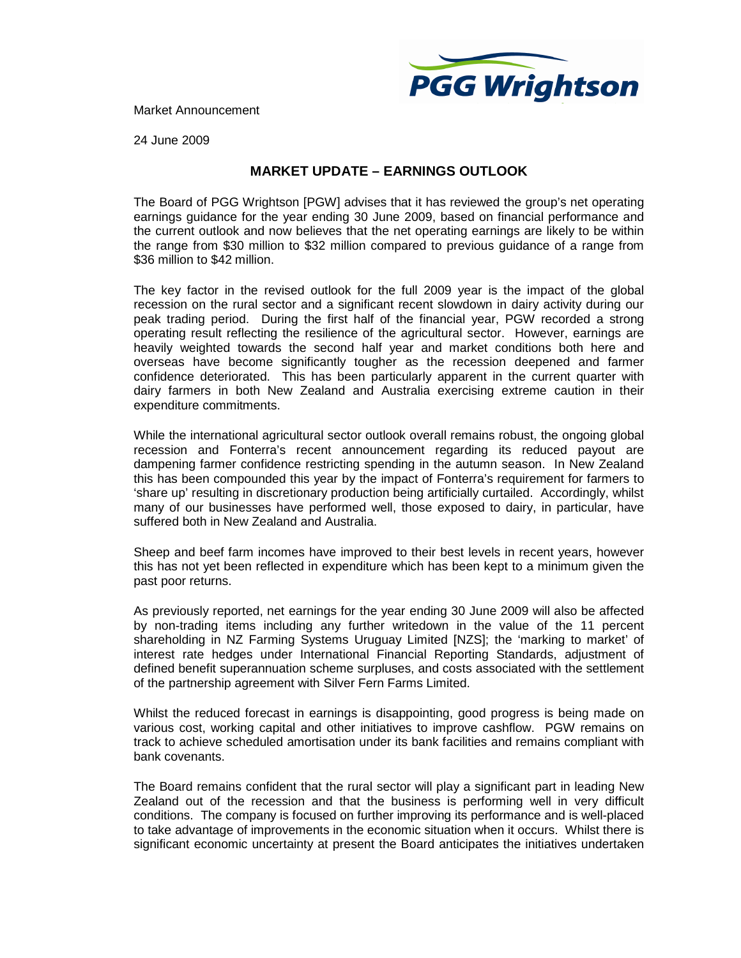

Market Announcement

24 June 2009

## **MARKET UPDATE – EARNINGS OUTLOOK**

The Board of PGG Wrightson [PGW] advises that it has reviewed the group's net operating earnings guidance for the year ending 30 June 2009, based on financial performance and the current outlook and now believes that the net operating earnings are likely to be within the range from \$30 million to \$32 million compared to previous guidance of a range from \$36 million to \$42 million.

The key factor in the revised outlook for the full 2009 year is the impact of the global recession on the rural sector and a significant recent slowdown in dairy activity during our peak trading period. During the first half of the financial year, PGW recorded a strong operating result reflecting the resilience of the agricultural sector. However, earnings are heavily weighted towards the second half year and market conditions both here and overseas have become significantly tougher as the recession deepened and farmer confidence deteriorated. This has been particularly apparent in the current quarter with dairy farmers in both New Zealand and Australia exercising extreme caution in their expenditure commitments.

While the international agricultural sector outlook overall remains robust, the ongoing global recession and Fonterra's recent announcement regarding its reduced payout are dampening farmer confidence restricting spending in the autumn season. In New Zealand this has been compounded this year by the impact of Fonterra's requirement for farmers to 'share up' resulting in discretionary production being artificially curtailed. Accordingly, whilst many of our businesses have performed well, those exposed to dairy, in particular, have suffered both in New Zealand and Australia.

Sheep and beef farm incomes have improved to their best levels in recent years, however this has not yet been reflected in expenditure which has been kept to a minimum given the past poor returns.

As previously reported, net earnings for the year ending 30 June 2009 will also be affected by non-trading items including any further writedown in the value of the 11 percent shareholding in NZ Farming Systems Uruguay Limited [NZS]; the 'marking to market' of interest rate hedges under International Financial Reporting Standards, adjustment of defined benefit superannuation scheme surpluses, and costs associated with the settlement of the partnership agreement with Silver Fern Farms Limited.

Whilst the reduced forecast in earnings is disappointing, good progress is being made on various cost, working capital and other initiatives to improve cashflow. PGW remains on track to achieve scheduled amortisation under its bank facilities and remains compliant with bank covenants.

The Board remains confident that the rural sector will play a significant part in leading New Zealand out of the recession and that the business is performing well in very difficult conditions. The company is focused on further improving its performance and is well-placed to take advantage of improvements in the economic situation when it occurs. Whilst there is significant economic uncertainty at present the Board anticipates the initiatives undertaken